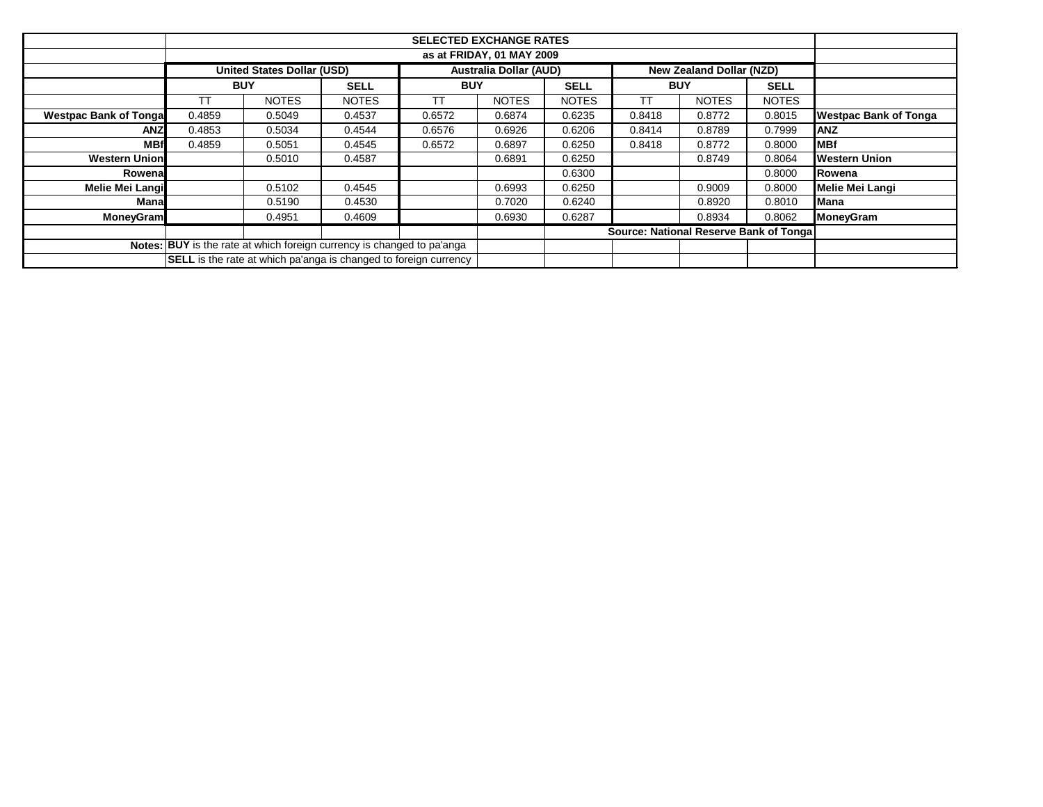|                               |                                                                        | <b>SELECTED EXCHANGE RATES</b> |                                                                         |            |                               |              |            |                          |              |                              |  |  |
|-------------------------------|------------------------------------------------------------------------|--------------------------------|-------------------------------------------------------------------------|------------|-------------------------------|--------------|------------|--------------------------|--------------|------------------------------|--|--|
|                               | as at FRIDAY, 01 MAY 2009                                              |                                |                                                                         |            |                               |              |            |                          |              |                              |  |  |
|                               |                                                                        | United States Dollar (USD)     |                                                                         |            | <b>Australia Dollar (AUD)</b> |              |            | New Zealand Dollar (NZD) |              |                              |  |  |
|                               | <b>BUY</b>                                                             |                                | <b>SELL</b>                                                             | <b>BUY</b> |                               | <b>SELL</b>  | <b>BUY</b> |                          | <b>SELL</b>  |                              |  |  |
|                               | ТT                                                                     | <b>NOTES</b>                   | <b>NOTES</b>                                                            | ТT         | <b>NOTES</b>                  | <b>NOTES</b> | ТT         | <b>NOTES</b>             | <b>NOTES</b> |                              |  |  |
| <b>Westpac Bank of Tongal</b> | 0.4859                                                                 | 0.5049                         | 0.4537                                                                  | 0.6572     | 0.6874                        | 0.6235       | 0.8418     | 0.8772                   | 0.8015       | <b>Westpac Bank of Tonga</b> |  |  |
| <b>ANZ</b>                    | 0.4853                                                                 | 0.5034                         | 0.4544                                                                  | 0.6576     | 0.6926                        | 0.6206       | 0.8414     | 0.8789                   | 0.7999       | <b>ANZ</b>                   |  |  |
| <b>MBf</b>                    | 0.4859                                                                 | 0.5051                         | 0.4545                                                                  | 0.6572     | 0.6897                        | 0.6250       | 0.8418     | 0.8772                   | 0.8000       | <b>MBf</b>                   |  |  |
| <b>Western Union</b>          |                                                                        | 0.5010                         | 0.4587                                                                  |            | 0.6891                        | 0.6250       |            | 0.8749                   | 0.8064       | <b>Western Union</b>         |  |  |
| Rowenal                       |                                                                        |                                |                                                                         |            |                               | 0.6300       |            |                          | 0.8000       | Rowena                       |  |  |
| Melie Mei Langi               |                                                                        | 0.5102                         | 0.4545                                                                  |            | 0.6993                        | 0.6250       |            | 0.9009                   | 0.8000       | <b>Melie Mei Langi</b>       |  |  |
| Manal                         |                                                                        | 0.5190                         | 0.4530                                                                  |            | 0.7020                        | 0.6240       |            | 0.8920                   | 0.8010       | <b>Mana</b>                  |  |  |
| <b>MoneyGram</b>              |                                                                        | 0.4951                         | 0.4609                                                                  |            | 0.6930                        | 0.6287       |            | 0.8934                   | 0.8062       | <b>MoneyGram</b>             |  |  |
|                               | Source: National Reserve Bank of Tonga                                 |                                |                                                                         |            |                               |              |            |                          |              |                              |  |  |
|                               | Notes: BUY is the rate at which foreign currency is changed to pa'anga |                                |                                                                         |            |                               |              |            |                          |              |                              |  |  |
|                               |                                                                        |                                | <b>SELL</b> is the rate at which pa'anga is changed to foreign currency |            |                               |              |            |                          |              |                              |  |  |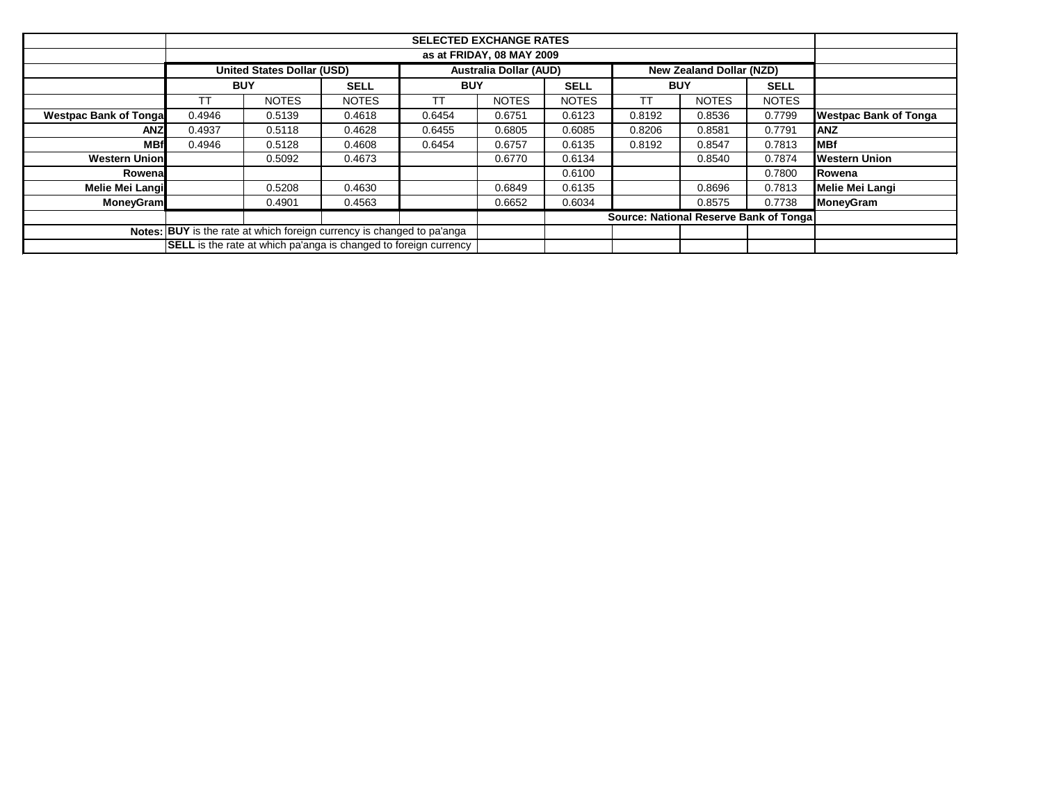|                               |            | <b>SELECTED EXCHANGE RATES</b>                                          |              |            |                               |              |            |                                        |              |                              |  |  |  |
|-------------------------------|------------|-------------------------------------------------------------------------|--------------|------------|-------------------------------|--------------|------------|----------------------------------------|--------------|------------------------------|--|--|--|
|                               |            | as at FRIDAY, 08 MAY 2009                                               |              |            |                               |              |            |                                        |              |                              |  |  |  |
|                               |            | <b>United States Dollar (USD)</b>                                       |              |            | <b>Australia Dollar (AUD)</b> |              |            | <b>New Zealand Dollar (NZD)</b>        |              |                              |  |  |  |
|                               | <b>BUY</b> |                                                                         | <b>SELL</b>  | <b>BUY</b> |                               | <b>SELL</b>  | <b>BUY</b> |                                        | <b>SELL</b>  |                              |  |  |  |
|                               | П          | <b>NOTES</b>                                                            | <b>NOTES</b> | ТT         | <b>NOTES</b>                  | <b>NOTES</b> | ТΤ         | <b>NOTES</b>                           | <b>NOTES</b> |                              |  |  |  |
| <b>Westpac Bank of Tongal</b> | 0.4946     | 0.5139                                                                  | 0.4618       | 0.6454     | 0.6751                        | 0.6123       | 0.8192     | 0.8536                                 | 0.7799       | <b>Westpac Bank of Tonga</b> |  |  |  |
| <b>ANZ</b>                    | 0.4937     | 0.5118                                                                  | 0.4628       | 0.6455     | 0.6805                        | 0.6085       | 0.8206     | 0.8581                                 | 0.7791       | <b>ANZ</b>                   |  |  |  |
| <b>MBf</b>                    | 0.4946     | 0.5128                                                                  | 0.4608       | 0.6454     | 0.6757                        | 0.6135       | 0.8192     | 0.8547                                 | 0.7813       | <b>MBf</b>                   |  |  |  |
| <b>Western Union</b>          |            | 0.5092                                                                  | 0.4673       |            | 0.6770                        | 0.6134       |            | 0.8540                                 | 0.7874       | <b>Western Union</b>         |  |  |  |
| Rowenal                       |            |                                                                         |              |            |                               | 0.6100       |            |                                        | 0.7800       | <b>IRowena</b>               |  |  |  |
| <b>Melie Mei Langi</b>        |            | 0.5208                                                                  | 0.4630       |            | 0.6849                        | 0.6135       |            | 0.8696                                 | 0.7813       | <b>Melie Mei Langi</b>       |  |  |  |
| <b>MoneyGram</b>              |            | 0.4901                                                                  | 0.4563       |            | 0.6652                        | 0.6034       |            | 0.8575                                 | 0.7738       | <b>MoneyGram</b>             |  |  |  |
|                               |            |                                                                         |              |            |                               |              |            | Source: National Reserve Bank of Tonga |              |                              |  |  |  |
|                               |            | Notes: BUY is the rate at which foreign currency is changed to pa'anga  |              |            |                               |              |            |                                        |              |                              |  |  |  |
|                               |            | <b>SELL</b> is the rate at which pa'anga is changed to foreign currency |              |            |                               |              |            |                                        |              |                              |  |  |  |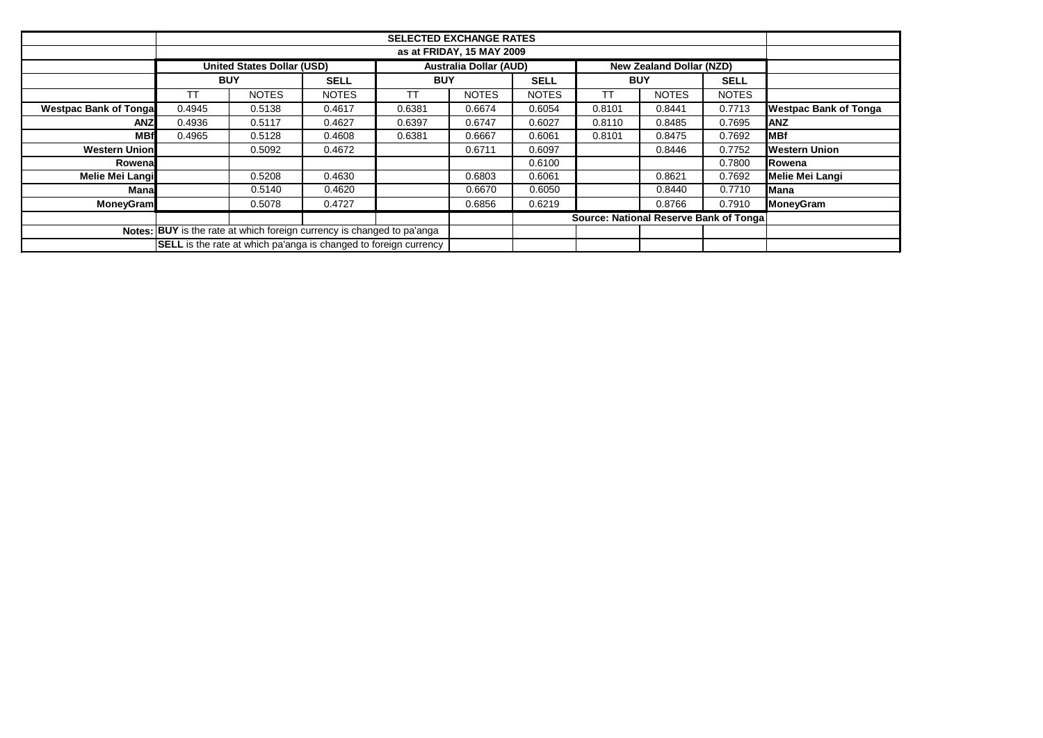|                                                                        |                                                                         | <b>United States Dollar (USD)</b> |                                        |            | <b>Australia Dollar (AUD)</b> |              |            | <b>New Zealand Dollar (NZD)</b> |              |                              |
|------------------------------------------------------------------------|-------------------------------------------------------------------------|-----------------------------------|----------------------------------------|------------|-------------------------------|--------------|------------|---------------------------------|--------------|------------------------------|
|                                                                        | <b>BUY</b>                                                              |                                   | <b>SELL</b>                            | <b>BUY</b> |                               | <b>SELL</b>  | <b>BUY</b> |                                 | <b>SELL</b>  |                              |
|                                                                        | ТT                                                                      | <b>NOTES</b>                      | <b>NOTES</b>                           | <b>TT</b>  | <b>NOTES</b>                  | <b>NOTES</b> | <b>TT</b>  | <b>NOTES</b>                    | <b>NOTES</b> |                              |
| <b>Westpac Bank of Tongal</b>                                          | 0.4945                                                                  | 0.5138                            | 0.4617                                 | 0.6381     | 0.6674                        | 0.6054       | 0.8101     | 0.8441                          | 0.7713       | <b>Westpac Bank of Tonga</b> |
| <b>ANZ</b>                                                             | 0.4936                                                                  | 0.5117                            | 0.4627                                 | 0.6397     | 0.6747                        | 0.6027       | 0.8110     | 0.8485                          | 0.7695       | <b>IANZ</b>                  |
| <b>MBf</b>                                                             | 0.4965                                                                  | 0.5128                            | 0.4608                                 | 0.6381     | 0.6667                        | 0.6061       | 0.8101     | 0.8475                          | 0.7692       | <b>MBf</b>                   |
| <b>Western Union</b>                                                   |                                                                         | 0.5092                            | 0.4672                                 |            | 0.6711                        | 0.6097       |            | 0.8446                          | 0.7752       | <b>Western Union</b>         |
| Rowena                                                                 |                                                                         |                                   |                                        |            |                               | 0.6100       |            |                                 | 0.7800       | Rowena                       |
| <b>Melie Mei Langi</b>                                                 |                                                                         | 0.5208                            | 0.4630                                 |            | 0.6803                        | 0.6061       |            | 0.8621                          | 0.7692       | Melie Mei Langi              |
| <b>Mana</b>                                                            |                                                                         | 0.5140                            | 0.4620                                 |            | 0.6670                        | 0.6050       |            | 0.8440                          | 0.7710       | <b>Mana</b>                  |
| <b>MoneyGram</b>                                                       |                                                                         | 0.5078                            | 0.4727                                 |            | 0.6856                        | 0.6219       |            | 0.8766                          | 0.7910       | <b>MoneyGram</b>             |
|                                                                        |                                                                         |                                   | Source: National Reserve Bank of Tonga |            |                               |              |            |                                 |              |                              |
| Notes: BUY is the rate at which foreign currency is changed to pa'anga |                                                                         |                                   |                                        |            |                               |              |            |                                 |              |                              |
|                                                                        | <b>SELL</b> is the rate at which pa'anga is changed to foreign currency |                                   |                                        |            |                               |              |            |                                 |              |                              |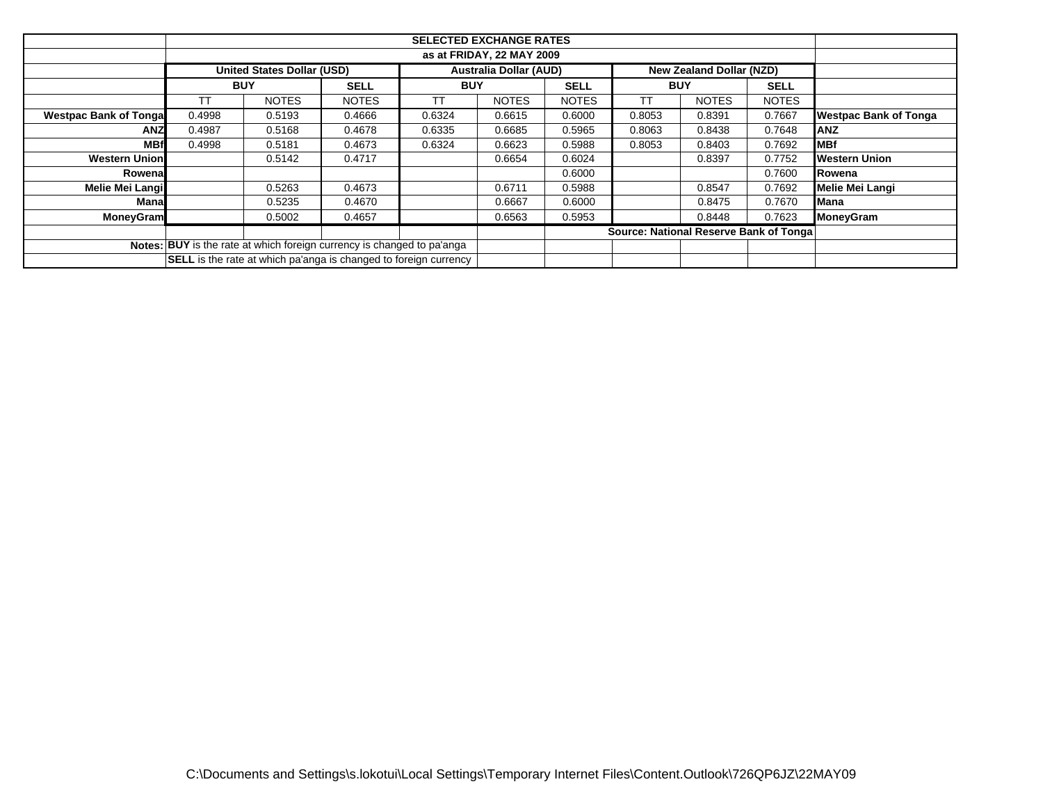|                                                                         | <b>United States Dollar (USD)</b> |              |              |            |              |              |            |                                        |              |                              |
|-------------------------------------------------------------------------|-----------------------------------|--------------|--------------|------------|--------------|--------------|------------|----------------------------------------|--------------|------------------------------|
|                                                                         | <b>BUY</b>                        |              | <b>SELL</b>  | <b>BUY</b> |              | <b>SELL</b>  | <b>BUY</b> |                                        | <b>SELL</b>  |                              |
|                                                                         | ТT                                | <b>NOTES</b> | <b>NOTES</b> | TT         | <b>NOTES</b> | <b>NOTES</b> | <b>TT</b>  | <b>NOTES</b>                           | <b>NOTES</b> |                              |
| <b>Westpac Bank of Tongal</b>                                           | 0.4998                            | 0.5193       | 0.4666       | 0.6324     | 0.6615       | 0.6000       | 0.8053     | 0.8391                                 | 0.7667       | <b>Westpac Bank of Tonga</b> |
| ANZ                                                                     | 0.4987                            | 0.5168       | 0.4678       | 0.6335     | 0.6685       | 0.5965       | 0.8063     | 0.8438                                 | 0.7648       | <b>ANZ</b>                   |
| <b>MBf</b>                                                              | 0.4998                            | 0.5181       | 0.4673       | 0.6324     | 0.6623       | 0.5988       | 0.8053     | 0.8403                                 | 0.7692       | <b>MBf</b>                   |
| <b>Western Union</b>                                                    |                                   | 0.5142       | 0.4717       |            | 0.6654       | 0.6024       |            | 0.8397                                 | 0.7752       | <b>Western Union</b>         |
| Rowena                                                                  |                                   |              |              |            |              | 0.6000       |            |                                        | 0.7600       | Rowena                       |
| Melie Mei Langi                                                         |                                   | 0.5263       | 0.4673       |            | 0.6711       | 0.5988       |            | 0.8547                                 | 0.7692       | Melie Mei Langi              |
| Manal                                                                   |                                   | 0.5235       | 0.4670       |            | 0.6667       | 0.6000       |            | 0.8475                                 | 0.7670       | Mana                         |
| <b>MoneyGram</b>                                                        |                                   | 0.5002       | 0.4657       |            | 0.6563       | 0.5953       |            | 0.8448                                 | 0.7623       | MoneyGram                    |
|                                                                         |                                   |              |              |            |              |              |            | Source: National Reserve Bank of Tonga |              |                              |
| Notes: BUY is the rate at which foreign currency is changed to pa'anga  |                                   |              |              |            |              |              |            |                                        |              |                              |
| <b>SELL</b> is the rate at which pa'anga is changed to foreign currency |                                   |              |              |            |              |              |            |                                        |              |                              |